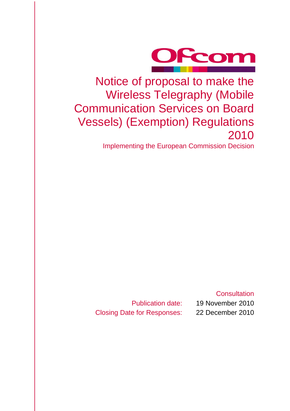

Notice of proposal to make the Wireless Telegraphy (Mobile Communication Services on Board Vessels) (Exemption) Regulations 2010

Implementing the European Commission Decision

**Consultation** 

Closing Date for Responses: 22 December 2010

Publication date: 19 November 2010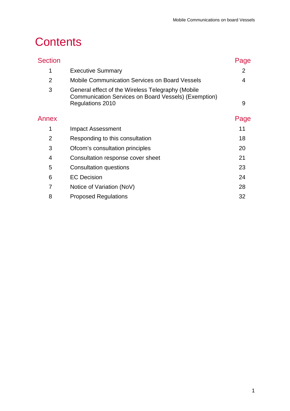# **Contents**

| <b>Section</b> |                                                                                                                               | Page |
|----------------|-------------------------------------------------------------------------------------------------------------------------------|------|
| 1              | <b>Executive Summary</b>                                                                                                      | 2    |
| $\overline{2}$ | <b>Mobile Communication Services on Board Vessels</b>                                                                         | 4    |
| 3              | General effect of the Wireless Telegraphy (Mobile<br>Communication Services on Board Vessels) (Exemption)<br>Regulations 2010 | 9    |
| Annex          |                                                                                                                               | Page |
| 1              | Impact Assessment                                                                                                             | 11   |
| $\overline{2}$ | Responding to this consultation                                                                                               | 18   |
| 3              | Ofcom's consultation principles                                                                                               | 20   |
| 4              | Consultation response cover sheet                                                                                             | 21   |
| 5              | Consultation questions                                                                                                        | 23   |
| 6              | <b>EC Decision</b>                                                                                                            | 24   |
| 7              | Notice of Variation (NoV)                                                                                                     | 28   |
| 8              | <b>Proposed Regulations</b>                                                                                                   | 32   |
|                |                                                                                                                               |      |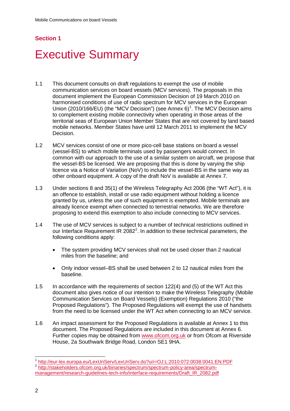## **Section 1**

# <span id="page-3-0"></span>**Executive Summary**

- 1.1 This document consults on draft regulations to exempt the use of mobile communication services on board vessels (MCV services). The proposals in this document implement the European Commission Decision of 19 March 2010 on harmonised conditions of use of radio spectrum for MCV services in the European Union (20[1](#page-3-1)0/166/EU) (the "MCV Decision") (see Annex 6)<sup>1</sup>. The MCV Decision aims to complement existing mobile connectivity when operating in those areas of the territorial seas of European Union Member States that are not covered by land based mobile networks. Member States have until 12 March 2011 to implement the MCV Decision.
- 1.2 MCV services consist of one or more pico-cell base stations on board a vessel (vessel-BS) to which mobile terminals used by passengers would connect. In common with our approach to the use of a similar system on aircraft, we propose that the vessel-BS be licensed. We are proposing that this is done by varying the ship licence via a Notice of Variation (NoV) to include the vessel-BS in the same way as other onboard equipment. A copy of the draft NoV is available at Annex 7.
- 1.3 Under sections 8 and 35(1) of the Wireless Telegraphy Act 2006 (the "WT Act"), it is an offence to establish, install or use radio equipment without holding a licence granted by us, unless the use of such equipment is exempted. Mobile terminals are already licence exempt when connected to terrestrial networks. We are therefore proposing to extend this exemption to also include connecting to MCV services.
- 1.4 The use of MCV services is subject to a number of technical restrictions outlined in our Interface Requirement IR [2](#page-3-2)082<sup>2</sup>. In addition to these technical parameters, the following conditions apply:
	- The system providing MCV services shall not be used closer than 2 nautical miles from the baseline; and
	- Only indoor vessel–BS shall be used between 2 to 12 nautical miles from the baseline.
- 1.5 In accordance with the requirements of section 122(4) and (5) of the WT Act this document also gives notice of our intention to make the Wireless Telegraphy (Mobile Communication Services on Board Vessels) (Exemption) Regulations 2010 ("the Proposed Regulations"). The Proposed Regulations will exempt the use of handsets from the need to be licensed under the WT Act when connecting to an MCV service.
- 1.6 An impact assessment for the Proposed Regulations is available at Annex 1 to this document. The Proposed Regulations are included in this document at Annex 6. Further copies may be obtained from [www.ofcom.org.uk](http://www.ofcom.org.uk/) or from Ofcom at Riverside House, 2a Southwark Bridge Road, London SE1 9HA.

<span id="page-3-2"></span><span id="page-3-1"></span><sup>1</sup> <http://eur-lex.europa.eu/LexUriServ/LexUriServ.do?uri=OJ:L:2010:072:0038:0041:EN:PDF> <sup>2</sup> [http://stakeholders.ofcom.org.uk/binaries/spectrum/spectrum-policy-area/spectrum](http://stakeholders.ofcom.org.uk/binaries/spectrum/spectrum-policy-area/spectrum-management/research-guidelines-tech-info/interface-requirements/Draft_IR_2082.pdf)[management/research-guidelines-tech-info/interface-requirements/Draft\\_IR\\_2082.pdf](http://stakeholders.ofcom.org.uk/binaries/spectrum/spectrum-policy-area/spectrum-management/research-guidelines-tech-info/interface-requirements/Draft_IR_2082.pdf)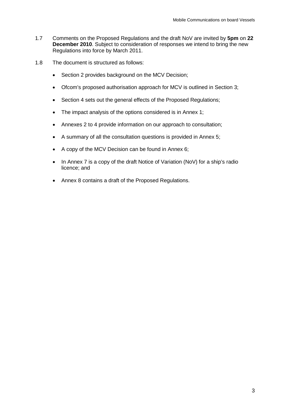- 1.7 Comments on the Proposed Regulations and the draft NoV are invited by **5pm** on **22 December 2010**. Subject to consideration of responses we intend to bring the new Regulations into force by March 2011.
- 1.8 The document is structured as follows:
	- Section 2 provides background on the MCV Decision;
	- Ofcom's proposed authorisation approach for MCV is outlined in Section 3;
	- Section 4 sets out the general effects of the Proposed Regulations;
	- The impact analysis of the options considered is in Annex 1;
	- Annexes 2 to 4 provide information on our approach to consultation;
	- A summary of all the consultation questions is provided in Annex 5;
	- A copy of the MCV Decision can be found in Annex 6;
	- In Annex 7 is a copy of the draft Notice of Variation (NoV) for a ship's radio licence; and
	- Annex 8 contains a draft of the Proposed Regulations.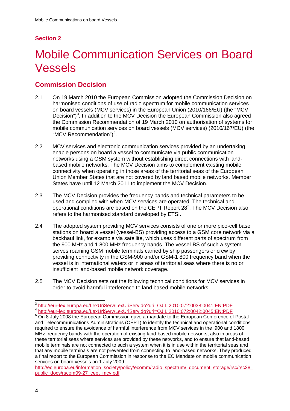# **Section 2**

# <span id="page-5-0"></span>2 Mobile Communication Services on Board Vessels

# **Commission Decision**

- 2.1 On 19 March 2010 the European Commission adopted the Commission Decision on harmonised conditions of use of radio spectrum for mobile communication services on board vessels (MCV services) in the European Union (2010/166/EU) (the "MCV Decision") $3$ . In addition to the MCV Decision the European Commission also agreed the Commission Recommendation of 19 March 2010 on authorisation of systems for mobile communication services on board vessels (MCV services) (2010/167/EU) (the "MCV Recommendation")<sup>[4](#page-5-2)</sup>.
- 2.2 MCV services and electronic communication services provided by an undertaking enable persons on board a vessel to communicate via public communication networks using a GSM system without establishing direct connections with landbased mobile networks. The MCV Decision aims to complement existing mobile connectivity when operating in those areas of the territorial seas of the European Union Member States that are not covered by land based mobile networks. Member States have until 12 March 2011 to implement the MCV Decision.
- 2.3 The MCV Decision provides the frequency bands and technical parameters to be used and complied with when MCV services are operated. The technical and operational conditions are based on the CEPT Report 28<sup>[5](#page-5-3)</sup>. The MCV Decision also refers to the harmonised standard developed by ETSI.
- 2.4 The adopted system providing MCV services consists of one or more pico-cell base stations on board a vessel (vessel-BS) providing access to a GSM core network via a backhaul link, for example via satellite, which uses different parts of spectrum from the 900 MHz and 1 800 MHz frequency bands. The vessel-BS of such a system serves roaming GSM mobile terminals carried by ship passengers or crew by providing connectivity in the GSM-900 and/or GSM-1 800 frequency band when the vessel is in international waters or in areas of territorial seas where there is no or insufficient land-based mobile network coverage.
- 2.5 The MCV Decision sets out the following technical conditions for MCV services in order to avoid harmful interference to land based mobile networks:

<span id="page-5-1"></span> $^3 \frac{\text{http://eur-lex.europa.eu/LexUriServ/LexUriServ.do?uri=OJ:L:2010:072:0038:0041:EN:PDF}{\text{http://eur-lex.europa.eu/LexUriServ/LexUriServ.do?uri=OJ:L:2010:072:0042:0045:EN:PDF}$  $^3 \frac{\text{http://eur-lex.europa.eu/LexUriServ/LexUriServ.do?uri=OJ:L:2010:072:0038:0041:EN:PDF}{\text{http://eur-lex.europa.eu/LexUriServ/LexUriServ.do?uri=OJ:L:2010:072:0042:0045:EN:PDF}$  $^3 \frac{\text{http://eur-lex.europa.eu/LexUriServ/LexUriServ.do?uri=OJ:L:2010:072:0038:0041:EN:PDF}{\text{http://eur-lex.europa.eu/LexUriServ/LexUriServ.do?uri=OJ:L:2010:072:0042:0045:EN:PDF}$ 

<span id="page-5-3"></span><span id="page-5-2"></span><sup>&</sup>lt;sup>5</sup> On 8 July 2008 the European Commission gave a mandate to the European Conference of Postal and Telecommunications Administrations (CEPT) to identify the technical and operational conditions required to ensure the avoidance of harmful interference from MCV services in the 900 and 1800 MHz frequency bands with the operation of existing land-based mobile networks, also in areas of these territorial seas where services are provided by these networks, and to ensure that land-based mobile terminals are not connected to such a system when it is in use within the territorial seas and that any mobile terminals are not prevented from connecting to land-based networks. They produced a final report to the European Commission in response to the EC Mandate on mobile communication services on board vessels on 1 July 2009

http://ec.europa.eu/information\_society/policy/ecomm/radio\_spectrum/\_document\_storage/rsc/rsc28 [public\\_docs/rscom09-27\\_cept\\_mcv.pdf](http://ec.europa.eu/information_society/policy/ecomm/radio_spectrum/_document_storage/rsc/rsc28_public_docs/rscom09-27_cept_mcv.pdf)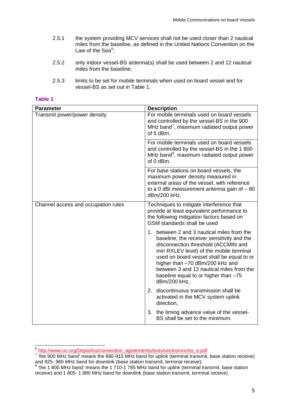- 2.5.1 the system providing MCV services shall not be used closer than 2 nautical miles from the baseline, as defined in the United Nations Convention on the Law of the Sea $6$ ;
- 2.5.2 only indoor vessel-BS antenna(s) shall be used between 2 and 12 nautical miles from the baseline;
- 2.5.3 limits to be set for mobile terminals when used on board vessel and for vessel-BS as set out in Table 1.

## **Table 1**

| <b>Parameter</b>                    | <b>Description</b>                                                                                                                                                                                                                                                                                                                                             |
|-------------------------------------|----------------------------------------------------------------------------------------------------------------------------------------------------------------------------------------------------------------------------------------------------------------------------------------------------------------------------------------------------------------|
| Transmit power/power density        | For mobile terminals used on board vessels<br>and controlled by the vessel-BS in the 900<br>MHz band <sup>7</sup> , maximum radiated output power<br>of 5 dBm.                                                                                                                                                                                                 |
|                                     | For mobile terminals used on board vessels<br>and controlled by the vessel-BS in the 1800<br>MHz band <sup>8</sup> , maximum radiated output power<br>of 0 dBm.                                                                                                                                                                                                |
|                                     | For base stations on board vessels, the<br>maximum power density measured in<br>external areas of the vessel, with reference<br>to a 0 dBi measurement antenna gain of $-80$<br>dBm/200 kHz.                                                                                                                                                                   |
| Channel access and occupation rules | Techniques to mitigate interference that<br>provide at least equivalent performance to<br>the following mitigation factors based on<br>GSM standards shall be used                                                                                                                                                                                             |
|                                     | 1. between 2 and 3 nautical miles from the<br>baseline, the receiver sensitivity and the<br>disconnection threshold (ACCMIN and<br>min RXLEV level) of the mobile terminal<br>used on board vessel shall be equal to or<br>higher than -70 dBm/200 kHz and<br>between 3 and 12 nautical miles from the<br>baseline equal to or higher than -75<br>dBm/200 kHz, |
|                                     | 2. discontinuous transmission shall be<br>activated in the MCV system uplink<br>direction,                                                                                                                                                                                                                                                                     |
|                                     | 3. the timing advance value of the vessel-<br>BS shall be set to the minimum.                                                                                                                                                                                                                                                                                  |

<span id="page-6-0"></span> <sup>6</sup> [http://www.un.org/Depts/los/convention\\_agreements/texts/unclos/unclos\\_e.pdf](http://www.un.org/Depts/los/convention_agreements/texts/unclos/unclos_e.pdf)

<span id="page-6-1"></span><sup>&</sup>lt;sup>7</sup> the 900 MHz band' means the 880-915 MHz band for uplink (terminal transmit, base station receive) and 925- 960 MHz band for downlink (base station transmit, terminal receive);<br>8 'the 1 800 MHz band' means the 1 710-1 785 MHz band for uplink (terminal transmit, base station

<span id="page-6-2"></span>receive) and 1 805- 1 880 MHz band for downlink (base station transmit, terminal receive)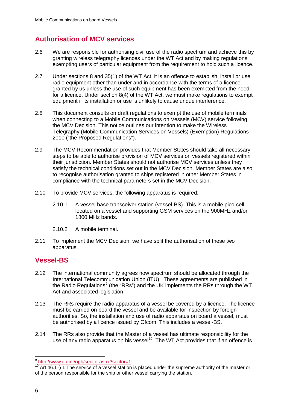# **Authorisation of MCV services**

- 2.6 We are responsible for authorising civil use of the radio spectrum and achieve this by granting wireless telegraphy licences under the WT Act and by making regulations exempting users of particular equipment from the requirement to hold such a licence.
- 2.7 Under sections 8 and 35(1) of the WT Act, it is an offence to establish, install or use radio equipment other than under and in accordance with the terms of a licence granted by us unless the use of such equipment has been exempted from the need for a licence. Under section 8(4) of the WT Act, we must make regulations to exempt equipment if its installation or use is unlikely to cause undue interference.
- 2.8 This document consults on draft regulations to exempt the use of mobile terminals when connecting to a Mobile Communications on Vessels (MCV) service following the MCV Decision. This notice outlines our intention to make the Wireless Telegraphy (Mobile Communication Services on Vessels) (Exemption) Regulations 2010 ("the Proposed Regulations").
- 2.9 The MCV Recommendation provides that Member States should take all necessary steps to be able to authorise provision of MCV services on vessels registered within their jurisdiction. Member States should not authorise MCV services unless they satisfy the technical conditions set out in the MCV Decision. Member States are also to recognise authorisation granted to ships registered in other Member States in compliance with the technical parameters set in the MCV Decision.
- 2.10 To provide MCV services, the following apparatus is required:
	- 2.10.1 A vessel base transceiver station (vessel-BS). This is a mobile pico-cell located on a vessel and supporting GSM services on the 900MHz and/or 1800 MHz bands.
	- 2.10.2 A mobile terminal.
- 2.11 To implement the MCV Decision, we have split the authorisation of these two apparatus.

# **Vessel-BS**

- 2.12 The international community agrees how spectrum should be allocated through the International Telecommunication Union (ITU). These agreements are published in the Radio Regulations<sup>[9](#page-7-0)</sup> (the "RRs") and the UK implements the RRs through the WT Act and associated legislation.
- 2.13 The RRs require the radio apparatus of a vessel be covered by a licence. The licence must be carried on board the vessel and be available for inspection by foreign authorities. So, the installation and use of radio apparatus on board a vessel, must be authorised by a licence issued by Ofcom. This includes a vessel-BS.
- 2.14 The RRs also provide that the Master of a vessel has ultimate responsibility for the use of any radio apparatus on his vessel<sup>[10](#page-7-1)</sup>. The WT Act provides that if an offence is

<span id="page-7-0"></span><sup>&</sup>lt;sup>9</sup> http://www.itu.int/opb/sector.aspx?sector=1

<span id="page-7-1"></span><sup>&</sup>lt;sup>10</sup> Art 46.1 § 1 The service of a vessel station is placed under the supreme authority of the master or of the person responsible for the ship or other vessel carrying the station.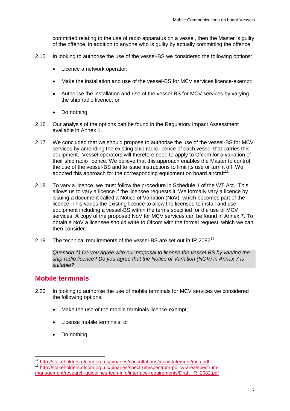committed relating to the use of radio apparatus on a vessel, then the Master is guilty of the offence, in addition to anyone who is guilty by actually committing the offence.

- 2.15 In looking to authorise the use of the vessel-BS we considered the following options:
	- Licence a network operator;
	- Make the installation and use of the vessel-BS for MCV services licence-exempt;
	- Authorise the installation and use of the vessel-BS for MCV services by varying the ship radio licence; or
	- Do nothing.
- 2.16 Our analysis of the options can be found in the Regulatory Impact Assessment available in Annex 1.
- 2.17 We concluded that we should propose to authorise the use of the vessel-BS for MCV services by amending the existing ship radio licence of each vessel that carries this equipment. Vessel operators will therefore need to apply to Ofcom for a variation of their ship radio licence. We believe that this approach enables the Master to control the use of the vessel-BS and to issue instructions to limit its use or turn it off. We adopted this approach for the corresponding equipment on board aircraft $^{11}$  $^{11}$  $^{11}$ .
- 2.18 To vary a licence, we must follow the procedure in Schedule 1 of the WT Act. This allows us to vary a licence if the licensee requests it. We formally vary a licence by issuing a document called a Notice of Variation (NoV), which becomes part of the licence. This varies the existing licence to allow the licensee to install and use equipment including a vessel-BS within the terms specified for the use of MCV services. A copy of the proposed NoV for MCV services can be found in Annex 7. To obtain a NoV a licensee should write to Ofcom with the formal request, which we can then consider.
- 2.19 The technical requirements of the vessel-BS are set out in IR 2082<sup>[12](#page-8-1)</sup>.

*Question 1) Do you agree with our proposal to license the vessel-BS by varying the ship radio licence? Do you agree that the Notice of Variation (NOV) in Annex 7 is suitable?*

# **Mobile terminals**

- 2.20 In looking to authorise the use of mobile terminals for MCV services we considered the following options:
	- Make the use of the mobile terminals licence-exempt;
	- License mobile terminals; or
	- Do nothing.

<span id="page-8-1"></span><span id="page-8-0"></span><sup>&</sup>lt;sup>11</sup> <http://stakeholders.ofcom.org.uk/binaries/consultations/mca/statement/mca.pdf><br><sup>12</sup> [http://stakeholders.ofcom.org.uk/binaries/spectrum/spectrum-policy-area/spectrum](http://stakeholders.ofcom.org.uk/binaries/spectrum/spectrum-policy-area/spectrum-management/research-guidelines-tech-info/interface-requirements/Draft_IR_2082.pdf)[management/research-guidelines-tech-info/interface-requirements/Draft\\_IR\\_2082.pdf](http://stakeholders.ofcom.org.uk/binaries/spectrum/spectrum-policy-area/spectrum-management/research-guidelines-tech-info/interface-requirements/Draft_IR_2082.pdf)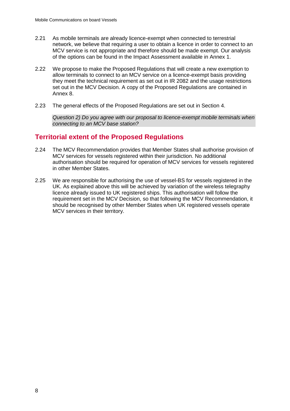- 2.21 As mobile terminals are already licence-exempt when connected to terrestrial network, we believe that requiring a user to obtain a licence in order to connect to an MCV service is not appropriate and therefore should be made exempt. Our analysis of the options can be found in the Impact Assessment available in Annex 1.
- 2.22 We propose to make the Proposed Regulations that will create a new exemption to allow terminals to connect to an MCV service on a licence-exempt basis providing they meet the technical requirement as set out in IR 2082 and the usage restrictions set out in the MCV Decision. A copy of the Proposed Regulations are contained in Annex 8.
- 2.23 The general effects of the Proposed Regulations are set out in Section 4.

*Question 2) Do you agree with our proposal to licence-exempt mobile terminals when connecting to an MCV base station?*

# **Territorial extent of the Proposed Regulations**

- 2.24 The MCV Recommendation provides that Member States shall authorise provision of MCV services for vessels registered within their jurisdiction. No additional authorisation should be required for operation of MCV services for vessels registered in other Member States.
- 2.25 We are responsible for authorising the use of vessel-BS for vessels registered in the UK. As explained above this will be achieved by variation of the wireless telegraphy licence already issued to UK registered ships. This authorisation will follow the requirement set in the MCV Decision, so that following the MCV Recommendation, it should be recognised by other Member States when UK registered vessels operate MCV services in their territory.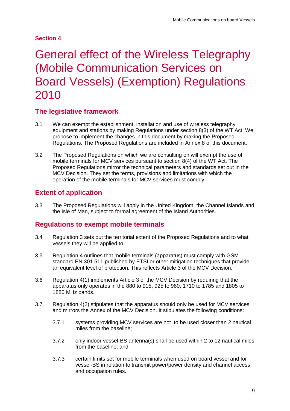## **Section 4**

# <span id="page-10-0"></span>3 General effect of the Wireless Telegraphy (Mobile Communication Services on Board Vessels) (Exemption) Regulations 2010

# **The legislative framework**

- 3.1 We can exempt the establishment, installation and use of wireless telegraphy equipment and stations by making Regulations under section 8(3) of the WT Act. We propose to implement the changes in this document by making the Proposed Regulations. The Proposed Regulations are included in Annex 8 of this document.
- 3.2 The Proposed Regulations on which we are consulting on will exempt the use of mobile terminals for MCV services pursuant to section 8(4) of the WT Act. The Proposed Regulations mirror the technical parameters and standards set out in the MCV Decision. They set the terms, provisions and limitations with which the operation of the mobile terminals for MCV services must comply.

# **Extent of application**

3.3 The Proposed Regulations will apply in the United Kingdom, the Channel Islands and the Isle of Man, subject to formal agreement of the Island Authorities.

# **Regulations to exempt mobile terminals**

- 3.4 Regulation 3 sets out the territorial extent of the Proposed Regulations and to what vessels they will be applied to.
- 3.5 Regulation 4 outlines that mobile terminals (apparatus) must comply with GSM standard EN 301 511 published by ETSI or other mitigation techniques that provide an equivalent level of protection. This reflects Article 3 of the MCV Decision.
- 3.6 Regulation 4(1) implements Article 3 of the MCV Decision by requiring that the apparatus only operates in the 880 to 915, 925 to 960, 1710 to 1785 and 1805 to 1880 MHz bands.
- 3.7 Regulation 4(2) stipulates that the apparatus should only be used for MCV services and mirrors the Annex of the MCV Decision. It stipulates the following conditions:
	- 3.7.1 systems providing MCV services are not to be used closer than 2 nautical miles from the baseline;
	- 3.7.2 only indoor vessel-BS antenna(s) shall be used within 2 to 12 nautical miles from the baseline; and
	- 3.7.3 certain limits set for mobile terminals when used on board vessel and for vessel-BS in relation to transmit power/power density and channel access and occupation rules.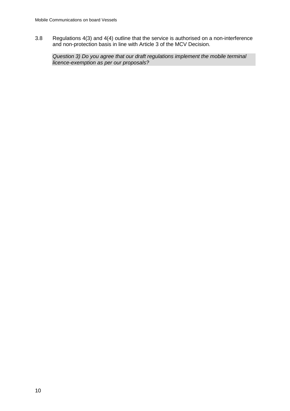3.8 Regulations 4(3) and 4(4) outline that the service is authorised on a non-interference and non-protection basis in line with Article 3 of the MCV Decision.

*Question 3) Do you agree that our draft regulations implement the mobile terminal licence-exemption as per our proposals?*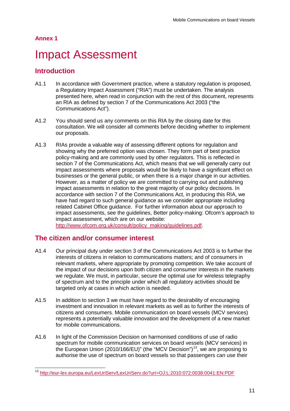# <span id="page-12-0"></span>**Impact Assessment**

# **Introduction**

- A1.1 In accordance with Government practice, where a statutory regulation is proposed, a Regulatory Impact Assessment ("RIA") must be undertaken. The analysis presented here, when read in conjunction with the rest of this document, represents an RIA as defined by section 7 of the Communications Act 2003 ("the Communications Act").
- A1.2 You should send us any comments on this RIA by the closing date for this consultation. We will consider all comments before deciding whether to implement our proposals.
- A1.3 RIAs provide a valuable way of assessing different options for regulation and showing why the preferred option was chosen. They form part of best practice policy-making and are commonly used by other regulators. This is reflected in section 7 of the Communications Act, which means that we will generally carry out impact assessments where proposals would be likely to have a significant effect on businesses or the general public, or when there is a major change in our activities. However, as a matter of policy we are committed to carrying out and publishing impact assessments in relation to the great majority of our policy decisions. In accordance with section 7 of the Communications Act, in producing this RIA, we have had regard to such general guidance as we consider appropriate including related Cabinet Office guidance. For further information about our approach to impact assessments, see the guidelines, Better policy-making: Ofcom's approach to impact assessment, which are on our website: [http://www.ofcom.org.uk/consult/policy\\_making/guidelines.pdf.](http://www.ofcom.org.uk/consult/policy_making/guidelines.pdf)

## **The citizen and/or consumer interest**

- A1.4 Our principal duty under section 3 of the Communications Act 2003 is to further the interests of citizens in relation to communications matters; and of consumers in relevant markets, where appropriate by promoting competition. We take account of the impact of our decisions upon both citizen and consumer interests in the markets we regulate. We must, in particular, secure the optimal use for wireless telegraphy of spectrum and to the principle under which all regulatory activities should be targeted only at cases in which action is needed.
- A1.5 In addition to section 3 we must have regard to the desirability of encouraging investment and innovation in relevant markets as well as to further the interests of citizens and consumers. Mobile communication on board vessels (MCV services) represents a potentially valuable innovation and the development of a new market for mobile communications.
- A1.6 In light of the Commission Decision on harmonised conditions of use of radio spectrum for mobile communication services on board vessels (MCV services) in the European Union (2010/166/EU)" (the "MCV Decision")<sup>[13](#page-12-1)</sup>, we are proposing to authorise the use of spectrum on board vessels so that passengers can use their

<span id="page-12-1"></span> <sup>13</sup> <http://eur-lex.europa.eu/LexUriServ/LexUriServ.do?uri=OJ:L:2010:072:0038:0041:EN:PDF>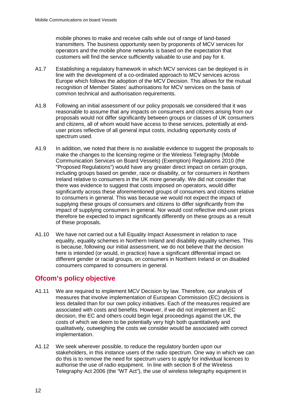mobile phones to make and receive calls while out of range of land-based transmitters. The business opportunity seen by proponents of MCV services for operators and the mobile phone networks is based on the expectation that customers will find the service sufficiently valuable to use and pay for it.

- A1.7 Establishing a regulatory framework in which MCV services can be deployed is in line with the development of a co-ordinated approach to MCV services across Europe which follows the adoption of the MCV Decision. This allows for the mutual recognition of Member States' authorisations for MCV services on the basis of common technical and authorisation requirements.
- A1.8 Following an initial assessment of our policy proposals we considered that it was reasonable to assume that any impacts on consumers and citizens arising from our proposals would not differ significantly between groups or classes of UK consumers and citizens, all of whom would have access to these services, potentially at enduser prices reflective of all general input costs, including opportunity costs of spectrum used.
- A1.9 In addition, we noted that there is no available evidence to suggest the proposals to make the changes to the licensing regime or the Wireless Telegraphy (Mobile Communication Services on Board Vessels) (Exemption) Regulations 2010 (the "Proposed Regulations") would have any greater direct impact on certain groups, including groups based on gender, race or disability, or for consumers in Northern Ireland relative to consumers in the UK more generally. We did not consider that there was evidence to suggest that costs imposed on operators, would differ significantly across these aforementioned groups of consumers and citizens relative to consumers in general. This was because we would not expect the impact of supplying these groups of consumers and citizens to differ significantly from the impact of supplying consumers in general. Nor would cost reflective end-user prices therefore be expected to impact significantly differently on these groups as a result of these proposals.
- A1.10 We have not carried out a full Equality Impact Assessment in relation to race equality, equality schemes in Northern Ireland and disability equality schemes. This is because, following our initial assessment, we do not believe that the decision here is intended (or would, in practice) have a significant differential impact on different gender or racial groups, on consumers in Northern Ireland or on disabled consumers compared to consumers in general.

# **Ofcom's policy objective**

- A1.11 We are required to implement MCV Decision by law. Therefore, our analysis of measures that involve implementation of European Commission (EC) decisions is less detailed than for our own policy initiatives. Each of the measures required are associated with costs and benefits. However, if we did not implement an EC decision, the EC and others could begin legal proceedings against the UK, the costs of which we deem to be potentially very high both quantitatively and qualitatively, outweighing the costs we consider would be associated with correct implementation.
- A1.12 We seek wherever possible, to reduce the regulatory burden upon our stakeholders, in this instance users of the radio spectrum. One way in which we can do this is to remove the need for spectrum users to apply for individual licences to authorise the use of radio equipment. In line with section 8 of the Wireless Telegraphy Act 2006 (the "WT Act"), the use of wireless telegraphy equipment in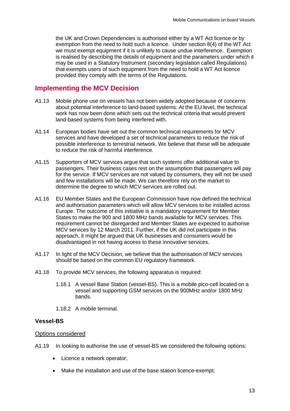the UK and Crown Dependencies is authorised either by a WT Act licence or by exemption from the need to hold such a licence. Under section 8(4) of the WT Act we must exempt equipment if it is unlikely to cause undue interference. Exemption is realised by describing the details of equipment and the parameters under which it may be used in a Statutory Instrument (secondary legislation called Regulations) that exempts users of such equipment from the need to hold a WT Act licence provided they comply with the terms of the Regulations.

## **Implementing the MCV Decision**

- A1.13 Mobile phone use on vessels has not been widely adopted because of concerns about potential interference to land-based systems. At the EU level, the technical work has now been done which sets out the technical criteria that would prevent land-based systems from being interfered with.
- A1.14 European bodies have set out the common technical requirements for MCV services and have developed a set of technical parameters to reduce the risk of possible interference to terrestrial network. We believe that these will be adequate to reduce the risk of harmful interference.
- A1.15 Supporters of MCV services argue that such systems offer additional value to passengers. Their business cases rest on the assumption that passengers will pay for the service. If MCV services are not valued by consumers, they will not be used and few installations will be made. We can therefore rely on the market to determine the degree to which MCV services are rolled out.
- A1.16 EU Member States and the European Commission have now defined the technical and authorisation parameters which will allow MCV services to be installed across Europe. The outcome of this initiative is a mandatory requirement for Member States to make the 900 and 1800 MHz bands available for MCV services. This requirement cannot be disregarded and Member States are expected to authorise MCV services by 12 March 2011. Further, if the UK did not participate in this approach, it might be argued that UK businesses and consumers would be disadvantaged in not having access to these innovative services.
- A1.17 In light of the MCV Decision, we believe that the authorisation of MCV services should be based on the common EU regulatory framework.
- A1.18 To provide MCV services, the following apparatus is required:
	- 1.18.1 A vessel Base Station (vessel-BS). This is a mobile pico-cell located on a vessel and supporting GSM services on the 900MHz and/or 1800 MHz bands.
	- 1.18.2 A mobile terminal.

### **Vessel-BS**

#### Options considered

A1.19 In looking to authorise the use of vessel-BS we considered the following options:

- Licence a network operator:
- Make the installation and use of the base station licence-exempt;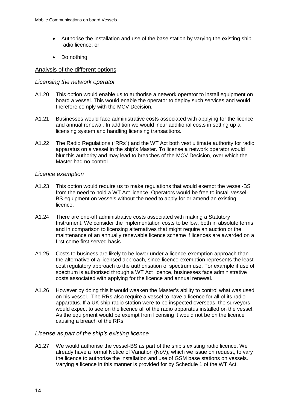- Authorise the installation and use of the base station by varying the existing ship radio licence; or
- Do nothing.

### Analysis of the different options

### *Licensing the network operator*

- A1.20 This option would enable us to authorise a network operator to install equipment on board a vessel. This would enable the operator to deploy such services and would therefore comply with the MCV Decision.
- A1.21 Businesses would face administrative costs associated with applying for the licence and annual renewal. In addition we would incur additional costs in setting up a licensing system and handling licensing transactions.
- A1.22 The Radio Regulations ("RRs") and the WT Act both vest ultimate authority for radio apparatus on a vessel in the ship's Master. To license a network operator would blur this authority and may lead to breaches of the MCV Decision, over which the Master had no control.

### *Licence exemption*

- A1.23 This option would require us to make regulations that would exempt the vessel-BS from the need to hold a WT Act licence. Operators would be free to install vessel-BS equipment on vessels without the need to apply for or amend an existing licence.
- A1.24 There are one-off administrative costs associated with making a Statutory Instrument. We consider the implementation costs to be low, both in absolute terms and in comparison to licensing alternatives that might require an auction or the maintenance of an annually renewable licence scheme if licences are awarded on a first come first served basis.
- A1.25 Costs to business are likely to be lower under a licence-exemption approach than the alternative of a licensed approach, since licence-exemption represents the least cost regulatory approach to the authorisation of spectrum use. For example if use of spectrum is authorised through a WT Act licence, businesses face administrative costs associated with applying for the licence and annual renewal.
- A1.26 However by doing this it would weaken the Master's ability to control what was used on his vessel. The RRs also require a vessel to have a licence for all of its radio apparatus. If a UK ship radio station were to be inspected overseas, the surveyors would expect to see on the licence all of the radio apparatus installed on the vessel. As the equipment would be exempt from licensing it would not be on the licence causing a breach of the RRs.

### *License as part of the ship's existing licence*

A1.27 We would authorise the vessel-BS as part of the ship's existing radio licence. We already have a formal Notice of Variation (NoV), which we issue on request, to vary the licence to authorise the installation and use of GSM base stations on vessels. Varying a licence in this manner is provided for by Schedule 1 of the WT Act.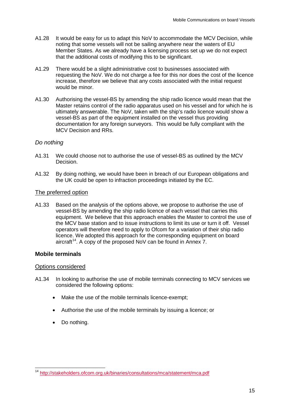- A1.28 It would be easy for us to adapt this NoV to accommodate the MCV Decision, while noting that some vessels will not be sailing anywhere near the waters of EU Member States. As we already have a licensing process set up we do not expect that the additional costs of modifying this to be significant.
- A1.29 There would be a slight administrative cost to businesses associated with requesting the NoV. We do not charge a fee for this nor does the cost of the licence increase, therefore we believe that any costs associated with the initial request would be minor.
- A1.30 Authorising the vessel-BS by amending the ship radio licence would mean that the Master retains control of the radio apparatus used on his vessel and for which he is ultimately answerable. The NoV, taken with the ship's radio licence would show a vessel-BS as part of the equipment installed on the vessel thus providing documentation for any foreign surveyors. This would be fully compliant with the MCV Decision and RRs.

### *Do nothing*

- A1.31 We could choose not to authorise the use of vessel-BS as outlined by the MCV Decision.
- A1.32 By doing nothing, we would have been in breach of our European obligations and the UK could be open to infraction proceedings initiated by the EC.

### The preferred option

A1.33 Based on the analysis of the options above, we propose to authorise the use of vessel-BS by amending the ship radio licence of each vessel that carries this equipment. We believe that this approach enables the Master to control the use of the MCV base station and to issue instructions to limit its use or turn it off. Vessel operators will therefore need to apply to Ofcom for a variation of their ship radio licence. We adopted this approach for the corresponding equipment on board aircraft<sup>[14](#page-16-0)</sup>. A copy of the proposed NoV can be found in Annex 7.

### **Mobile terminals**

### Options considered

- A1.34 In looking to authorise the use of mobile terminals connecting to MCV services we considered the following options:
	- Make the use of the mobile terminals licence-exempt;
	- Authorise the use of the mobile terminals by issuing a licence; or
	- Do nothing.

<span id="page-16-0"></span> <sup>14</sup> <http://stakeholders.ofcom.org.uk/binaries/consultations/mca/statement/mca.pdf>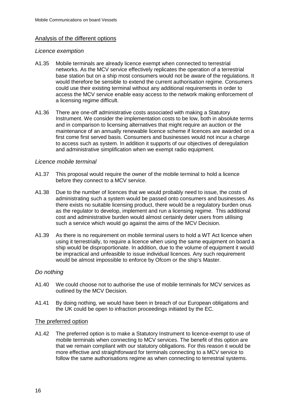### Analysis of the different options

#### *Licence exemption*

- A1.35 Mobile terminals are already licence exempt when connected to terrestrial networks. As the MCV service effectively replicates the operation of a terrestrial base station but on a ship most consumers would not be aware of the regulations. It would therefore be sensible to extend the current authorisation regime. Consumers could use their existing terminal without any additional requirements in order to access the MCV service enable easy access to the network making enforcement of a licensing regime difficult.
- A1.36 There are one-off administrative costs associated with making a Statutory Instrument. We consider the implementation costs to be low, both in absolute terms and in comparison to licensing alternatives that might require an auction or the maintenance of an annually renewable licence scheme if licences are awarded on a first come first served basis. Consumers and businesses would not incur a charge to access such as system. In addition it supports of our objectives of deregulation and administrative simplification when we exempt radio equipment.

### *Licence mobile terminal*

- A1.37 This proposal would require the owner of the mobile terminal to hold a licence before they connect to a MCV service.
- A1.38 Due to the number of licences that we would probably need to issue, the costs of administrating such a system would be passed onto consumers and businesses. As there exists no suitable licensing product, there would be a regulatory burden onus as the regulator to develop, implement and run a licensing regime. This additional cost and administrative burden would almost certainly deter users from utilising such a service which would go against the aims of the MCV Decision.
- A1.39 As there is no requirement on mobile terminal users to hold a WT Act licence when using it terrestrially, to require a licence when using the same equipment on board a ship would be disproportionate. In addition, due to the volume of equipment it would be impractical and unfeasible to issue individual licences. Any such requirement would be almost impossible to enforce by Ofcom or the ship's Master.

### *Do nothing*

- A1.40 We could choose not to authorise the use of mobile terminals for MCV services as outlined by the MCV Decision.
- A1.41 By doing nothing, we would have been in breach of our European obligations and the UK could be open to infraction proceedings initiated by the EC.

#### The preferred option

A1.42 The preferred option is to make a Statutory Instrument to licence-exempt to use of mobile terminals when connecting to MCV services. The benefit of this option are that we remain compliant with our statutory obligations. For this reason it would be more effective and straightforward for terminals connecting to a MCV service to follow the same authorisations regime as when connecting to terrestrial systems.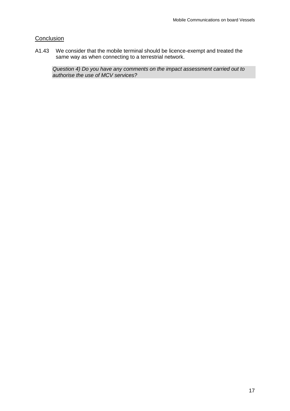## **Conclusion**

A1.43 We consider that the mobile terminal should be licence-exempt and treated the same way as when connecting to a terrestrial network.

*Question 4) Do you have any comments on the impact assessment carried out to authorise the use of MCV services?*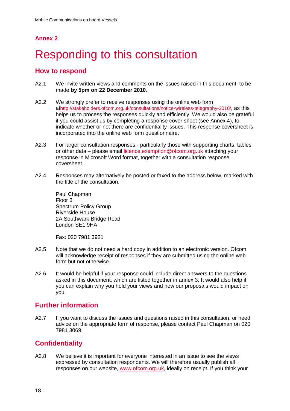# <span id="page-19-0"></span>**Responding to this consultation**

# **How to respond**

- A2.1 We invite written views and comments on the issues raised in this document, to be made **by 5pm on 22 December 2010**.
- A2.2 We strongly prefer to receive responses using the online web form a[thttp://stakeholders.ofcom.org.uk/consultations/notice-wireless-telegraphy-2010/,](http://stakeholders.ofcom.org.uk/consultations/notice-wireless-telegraphy-2010/) as this helps us to process the responses quickly and efficiently. We would also be grateful if you could assist us by completing a response cover sheet (see Annex 4), to indicate whether or not there are confidentiality issues. This response coversheet is incorporated into the online web form questionnaire.
- A2.3 For larger consultation responses particularly those with supporting charts, tables or other data – please email [licence.exemption@ofcom.org.uk](mailto:email%20licence.exemption@ofcom.org.uk) attaching your response in Microsoft Word format, together with a consultation response coversheet.
- A2.4 Responses may alternatively be posted or faxed to the address below, marked with the title of the consultation.

Paul Chapman Floor 3 Spectrum Policy Group Riverside House 2A Southwark Bridge Road London SE1 9HA

Fax: 020 7981 3921

- A2.5 Note that we do not need a hard copy in addition to an electronic version. Ofcom will acknowledge receipt of responses if they are submitted using the online web form but not otherwise.
- A2.6 It would be helpful if your response could include direct answers to the questions asked in this document, which are listed together in annex 3. It would also help if you can explain why you hold your views and how our proposals would impact on you.

# **Further information**

A2.7 If you want to discuss the issues and questions raised in this consultation, or need advice on the appropriate form of response, please contact Paul Chapman on 020 7981 3069.

# **Confidentiality**

A2.8 We believe it is important for everyone interested in an issue to see the views expressed by consultation respondents. We will therefore usually publish all responses on our website, [www.ofcom.org.uk,](http://www.ofcom.org.uk/) ideally on receipt. If you think your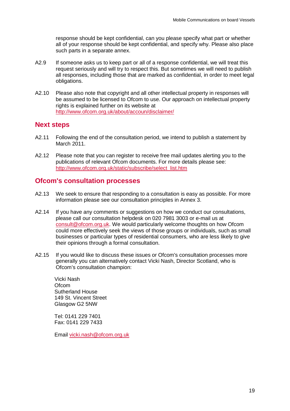response should be kept confidential, can you please specify what part or whether all of your response should be kept confidential, and specify why. Please also place such parts in a separate annex.

- A2.9 If someone asks us to keep part or all of a response confidential, we will treat this request seriously and will try to respect this. But sometimes we will need to publish all responses, including those that are marked as confidential, in order to meet legal obligations.
- A2.10 Please also note that copyright and all other intellectual property in responses will be assumed to be licensed to Ofcom to use. Our approach on intellectual property rights is explained further on its website at <http://www.ofcom.org.uk/about/accoun/disclaimer/>

## **Next steps**

- A2.11 Following the end of the consultation period, we intend to publish a statement by March 2011.
- A2.12 Please note that you can register to receive free mail updates alerting you to the publications of relevant Ofcom documents. For more details please see: [http://www.ofcom.org.uk/static/subscribe/select\\_list.htm](http://www.ofcom.org.uk/static/subscribe/select_list.htm)

## **Ofcom's consultation processes**

- A2.13 We seek to ensure that responding to a consultation is easy as possible. For more information please see our consultation principles in Annex 3.
- A2.14 If you have any comments or suggestions on how we conduct our consultations, please call our consultation helpdesk on 020 7981 3003 or e-mail us at [consult@ofcom.org.uk.](mailto:consult@ofcom.org.uk) We would particularly welcome thoughts on how Ofcom could more effectively seek the views of those groups or individuals, such as small businesses or particular types of residential consumers, who are less likely to give their opinions through a formal consultation.
- A2.15 If you would like to discuss these issues or Ofcom's consultation processes more generally you can alternatively contact Vicki Nash, Director Scotland, who is Ofcom's consultation champion:

Vicki Nash **Ofcom** Sutherland House 149 St. Vincent Street Glasgow G2 5NW

Tel: 0141 229 7401 Fax: 0141 229 7433

Email [vicki.nash@ofcom.org.uk](mailto:vicki.nash@ofcom.org.uk)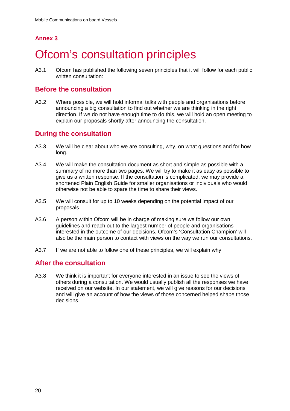# <span id="page-21-0"></span>**Ofcom's consultation principles**

A3.1 Ofcom has published the following seven principles that it will follow for each public written consultation:

# **Before the consultation**

A3.2 Where possible, we will hold informal talks with people and organisations before announcing a big consultation to find out whether we are thinking in the right direction. If we do not have enough time to do this, we will hold an open meeting to explain our proposals shortly after announcing the consultation.

# **During the consultation**

- A3.3 We will be clear about who we are consulting, why, on what questions and for how long.
- A3.4 We will make the consultation document as short and simple as possible with a summary of no more than two pages. We will try to make it as easy as possible to give us a written response. If the consultation is complicated, we may provide a shortened Plain English Guide for smaller organisations or individuals who would otherwise not be able to spare the time to share their views.
- A3.5 We will consult for up to 10 weeks depending on the potential impact of our proposals.
- A3.6 A person within Ofcom will be in charge of making sure we follow our own guidelines and reach out to the largest number of people and organisations interested in the outcome of our decisions. Ofcom's 'Consultation Champion' will also be the main person to contact with views on the way we run our consultations.
- A3.7 If we are not able to follow one of these principles, we will explain why.

# **After the consultation**

A3.8 We think it is important for everyone interested in an issue to see the views of others during a consultation. We would usually publish all the responses we have received on our website. In our statement, we will give reasons for our decisions and will give an account of how the views of those concerned helped shape those decisions.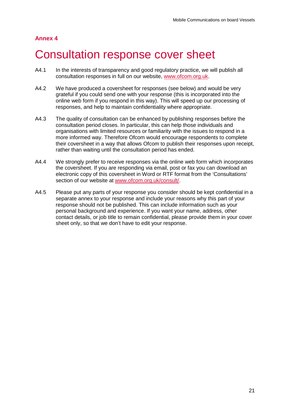# <span id="page-22-0"></span>4 Consultation response cover sheet

- A4.1 In the interests of transparency and good regulatory practice, we will publish all consultation responses in full on our website, [www.ofcom.org.uk.](http://www.ofcom.org.uk/)
- A4.2 We have produced a coversheet for responses (see below) and would be very grateful if you could send one with your response (this is incorporated into the online web form if you respond in this way). This will speed up our processing of responses, and help to maintain confidentiality where appropriate.
- A4.3 The quality of consultation can be enhanced by publishing responses before the consultation period closes. In particular, this can help those individuals and organisations with limited resources or familiarity with the issues to respond in a more informed way. Therefore Ofcom would encourage respondents to complete their coversheet in a way that allows Ofcom to publish their responses upon receipt, rather than waiting until the consultation period has ended.
- A4.4 We strongly prefer to receive responses via the online web form which incorporates the coversheet. If you are responding via email, post or fax you can download an electronic copy of this coversheet in Word or RTF format from the 'Consultations' section of our website at [www.ofcom.org.uk/consult/.](http://www.ofcom.org.uk/consult/)
- A4.5 Please put any parts of your response you consider should be kept confidential in a separate annex to your response and include your reasons why this part of your response should not be published. This can include information such as your personal background and experience. If you want your name, address, other contact details, or job title to remain confidential, please provide them in your cover sheet only, so that we don't have to edit your response.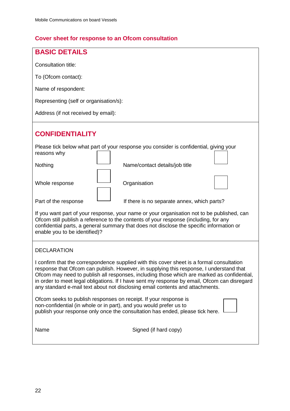# **Cover sheet for response to an Ofcom consultation**

| <b>BASIC DETAILS</b>                                                                                                                                                                                                                                                                                                                                                                                                                                                |  |  |  |  |
|---------------------------------------------------------------------------------------------------------------------------------------------------------------------------------------------------------------------------------------------------------------------------------------------------------------------------------------------------------------------------------------------------------------------------------------------------------------------|--|--|--|--|
| Consultation title:                                                                                                                                                                                                                                                                                                                                                                                                                                                 |  |  |  |  |
| To (Ofcom contact):                                                                                                                                                                                                                                                                                                                                                                                                                                                 |  |  |  |  |
| Name of respondent:                                                                                                                                                                                                                                                                                                                                                                                                                                                 |  |  |  |  |
| Representing (self or organisation/s):                                                                                                                                                                                                                                                                                                                                                                                                                              |  |  |  |  |
| Address (if not received by email):                                                                                                                                                                                                                                                                                                                                                                                                                                 |  |  |  |  |
|                                                                                                                                                                                                                                                                                                                                                                                                                                                                     |  |  |  |  |
| <b>CONFIDENTIALITY</b>                                                                                                                                                                                                                                                                                                                                                                                                                                              |  |  |  |  |
| Please tick below what part of your response you consider is confidential, giving your<br>reasons why                                                                                                                                                                                                                                                                                                                                                               |  |  |  |  |
| Nothing<br>Name/contact details/job title                                                                                                                                                                                                                                                                                                                                                                                                                           |  |  |  |  |
| Whole response<br>Organisation                                                                                                                                                                                                                                                                                                                                                                                                                                      |  |  |  |  |
| Part of the response<br>If there is no separate annex, which parts?                                                                                                                                                                                                                                                                                                                                                                                                 |  |  |  |  |
| If you want part of your response, your name or your organisation not to be published, can<br>Ofcom still publish a reference to the contents of your response (including, for any<br>confidential parts, a general summary that does not disclose the specific information or<br>enable you to be identified)?                                                                                                                                                     |  |  |  |  |
| <b>DECLARATION</b>                                                                                                                                                                                                                                                                                                                                                                                                                                                  |  |  |  |  |
| I confirm that the correspondence supplied with this cover sheet is a formal consultation<br>response that Ofcom can publish. However, in supplying this response, I understand that<br>Ofcom may need to publish all responses, including those which are marked as confidential,<br>in order to meet legal obligations. If I have sent my response by email, Ofcom can disregard<br>any standard e-mail text about not disclosing email contents and attachments. |  |  |  |  |
| Ofcom seeks to publish responses on receipt. If your response is<br>non-confidential (in whole or in part), and you would prefer us to<br>publish your response only once the consultation has ended, please tick here.                                                                                                                                                                                                                                             |  |  |  |  |
| Name<br>Signed (if hard copy)                                                                                                                                                                                                                                                                                                                                                                                                                                       |  |  |  |  |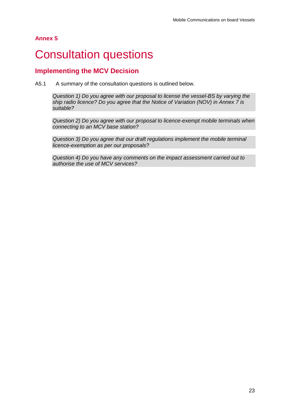# <span id="page-24-0"></span>5 Consultation questions

## **Implementing the MCV Decision**

A5.1 A summary of the consultation questions is outlined below.

*Question 1) Do you agree with our proposal to license the vessel-BS by varying the ship radio licence? Do you agree that the Notice of Variation (NOV) in Annex 7 is suitable?*

*Question 2) Do you agree with our proposal to licence-exempt mobile terminals when connecting to an MCV base station?*

*Question 3) Do you agree that our draft regulations implement the mobile terminal licence-exemption as per our proposals?*

*Question 4) Do you have any comments on the impact assessment carried out to authorise the use of MCV services?*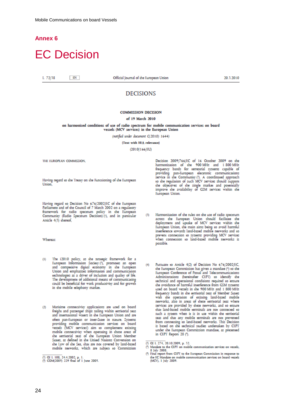# <span id="page-25-0"></span>**EC Decision**

L 72/38  $-{\rm EN}$  Official Journal of the European Union

20.3.2010

### **DECISIONS**

#### **COMMISSION DECISION**

#### of 19 March 2010

#### on harmonised conditions of use of radio spectrum for mobile communication services on board vessels (MCV services) in the European Union

(notified under document C(2010) 1644)

(Text with EEA relevance)

 $(2010/166/EU)$ 

THE EUROPEAN COMMISSION

Having regard to the Treaty on the Functioning of the European Union

Having regard to Decision No 676/2002/EC of the European<br>Parliament and of the Council of 7 March 2002 on a regulatory framework for radio spectrum policy in the European Community (Radio Spectrum Decision) (1), and in particular Article 4(3) thereof,

Whereas:

- The i2010 policy, as the strategic framework for a  $(1)$ European Information Society (?), promotes an open<br>and competitive digital economy in the European Union and emphasises information and communication technologies as a driver of inclusion and quality of life. The development of additional means of communicating could be beneficial for work productivity and for growth in the mobile telephony market.
- $O<sub>1</sub>$ Maritime connectivity applications are used on board Freight and passenger ships sailing within territorial seas<br>and international waters in the European Union and are often pan-European or inter-State in nature. Systems providing mobile communication services on board<br>providing mobile communication services on board<br>vessels (MCV services) aim to complement existing mobile connectivity when operating in those areas of the territorial seas of the European Union Member States, as defined in the United Nations Convention on the Law of the Sea, that are not covered by land-based mobile networks, which are subject to Commission

 $\begin{tabular}{lllllllllll} \textbf{Decision} & 2009/766/EC & of & 16 & October & 2009 & on the harmonicisation & of & the & 900 MHz & and & 1 & 800 MHz & frequency & bands & for & terrestrial systems & capable of \end{tabular}$ requested para-European electronic communications<br>service in the Community (?). A coordinated approach<br>to the regulation of such MCV services should support the objectives of the single market and potentially<br>improve the availability of GSM services within the European Union.

- Harmonisation of the rules on the use of radio spectrum  $(3)$ across the European Union should facilitate the deployment and uptake of MCV services within the European Union, the main aims being to avoid harmful interference towards land-based mobile networks and to prevent connection to systems providing MCV services when connection to land-based mobile networks is possible.
- Pursuant to Article 4(2) of Decision No 676/2002/EC,  $(4)$ the European Commission has given a mandate (4) to the European Conference of Postal and Telecommunications Administrations (hereinafter CEPT) to identify the technical and operational conditions required to ensure the avoidance of harmful interference from GSM systems used on board vessels in the 900 MHz and 1 800 MHz frequency bands in the territorial seas of Member States with the operation of existing land-based mobile networks, also in areas of these territorial seas where services are provided by these networks, and to ensure that land-based mobile terminals are not connected to such a system when it is in use within the territorial seas and that any mobile terminals are not prevented from connecting to land-based networks. This Decision is based on the technical studies undertaken by CEPT under the European Commission mandate, as presented in CEPT Report 28 (°).

(?) OJ I. 274, 20.10.2009, p. 32.

Mandate to the CEPT on mobile communication services on vessels, Ö

8 July 2008 (9) Final report from CEPT to the European Commission in response to the EC Mandate on mobile communication zervices on board vessels (MCV), 1 July 2009.

<sup>(&</sup>lt;sup>1</sup>) OJ L 108, 24.4.2002, p. 1.<br>(<sup>2</sup>) COM(2005) 229 final of 1 June 2005.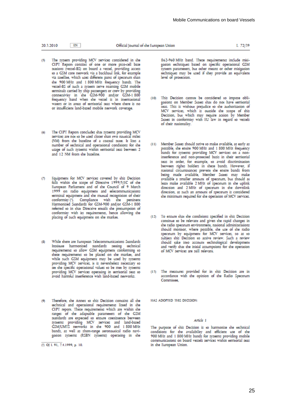20.3.2010  $F_N$  L 72/39

- The system providing MCV services considered in the CEPT Report consists of one or more pico-cell base stations (vessel-BS) on board a vessel, providing access<br>to a GSM core network via a backhaul link, for example via savellite, which uses different parts of spectrum than<br>the 900 MHz and 1800 MHz frequency bands. The vessel-BS of such a system serve roaming GSM mobile terminals carried by ship passengers or crew by providing<br>connectivity in the GSM-900 and/or GSM-1 800 frequency band when the vessel is in international waters or in areas of territorial seas where there is no or insufficient land-based mobile network coverage.
- The CEPT Report concludes that systems providing MCV  $(6)$ services are not to be used closer than two nautical miles (NM) from the baseline of a coastal state. It lists a number of technical and operational conditions for the usage of such systems within territorial seas between 2 and 12 NM from the baseline.
- Equipment for MCV services covered by this Decision  $\sigma$ falls within the scope of Directive 1999/5/EC of the European Parliament and of the Council of 9 March 1999 on radio equipment and telecommunications terminal equipment and the mutual recognition of their conformity<sup>(1)</sup>. Compliance with the pertinent Harmonised Standards for GSM-900 and/or GSM-1 800 referred to in that Directive entails the presumption of conformity with its requirements, hence allowing the placing of such equipment on the market.
- While there are European Telecommunications Standards (8) Institute harmonised standards setting technical<br>requirements to allow GSM equipment conforming to these requirements to be placed on the market, and while such GSM equipment may be used by systems providing MCV services, it is nevertheless necessary to set the specific operational values to be met by systems providing MCV services operating in territorial seas to avoid harmful interference with land-based networks.
- Therefore, the Annex to this Decision contains all the technical and operational requirements listed in the CEPT report. These requirements which are within the ranges of the adaptable parameters of the GSM standards are expected to ensure coexistence between<br>systems providing MCV services and land-based<br>GSM/UMTS networks in the 900 and 1 800 MHz bands, as well as short-range aeronautical radio navigation systems (RSBN systems) operating in the

862-960 MHz band. These requirements include mitigation techniques based on specific operational GSM system parameters, but other means or other mitioation techniques may be used if they provide an equivalent level of protection.

- (10) This Decision cannot be considered to impose obligations on Member States that do not have territorial seas. This is without prejudice to the authorisation of MCV services, which is outside the scope of this Decision, but which may require action by Member States in conformity with EU law in regard to vessels of their nationality.
- Member States should strive to make available, as early as  $(11)$ possible, the entire 900 MHz and 1 800 MHz frequency<br>bands for systems providing MCV services on a noninterference and non-protected basis in their territorial seas in order, for example, to avoid discrimination between rights holders in these bands. However, if national circumstances prevent the entire bands from<br>being made available, Member States may make available a smaller amount of spectrum, but should at least make available 2 MHz of spectrum in the uplink direction and 2 MHz of spectrum in the downlink direction, as such an amount of spectrum is considered the minimum required for the operation of MCV services.
- (12) To ensure that the conditions specified in this Decision continue to be relevant and given the rapid changes in the radio spectrum environment, national administrations should monitor, where possible, the use of the radio spectrum by equipment for MCV services, so as to subject this Decision to active review. Such a review should take into account technological development and verify that the initial assumptions for the operation of MCV services are still relevant.
- (13) The measures provided for in this Decision are in accordance with the opinion of the Radio Spectrum Committee.

HAS ADOPTED THIS DECISION:

#### Article 1

The purpose of this Decision is to harmonise the technical conditions for the availability and efficient use of the<br>900 MHz and 1 800 MHz bands for systems providing mobile communications on board vessels services within territorial seas in the European Union.

 $(1)$  OJ L 91, 7.4.1999, p. 10.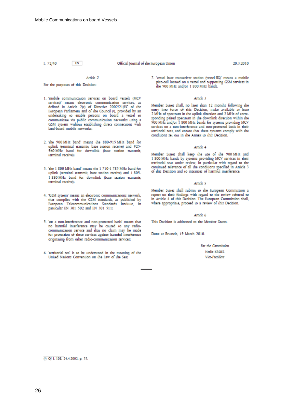EN

#### L 72/40

#### Article 2

For the purposes of this Decision:

- 1. 'mobile communication services on board vessels (MCV services)' means electronic communication services, as<br>defined in Article 2(c) of Directive 2002/21/EC of the European Parliament and of the Council (1), provided by an undertaking to enable persons on board a vessel to communicate via public communication networks using a GSM system without establishing direct connections with land-based mobile networks:
- 2. 'the 900 MHz band' means the 880-915 MHz band for uplink (terminal transmit, base station receive) and 925-960 MHz band for downlink (base station transmit, terminal receive);
- 3. 'the 1 800 MHz band' means the 1 710-1 785 MHz band for uplink (terminal transmit, base station receive) and 1 805-1 880 MHz band for downlink (base station transmit, terminal receivel:
- 4. 'GSM system' means an electronic communications network, that complies with the GSM standards, as published by European Telecommunications Standards Institute, in particular EN 301 502 and EN 301 511;
- 5. 'on a non-interference and non-protected basis' means that no harmful interference may be caused to any radiocommunication service and that no claim may be made for protection of these services against harmful interference originating from other radio-communication services;
- 6. 'territorial sea' is to be understood in the meaning of the United Nations Convention on the Law of the Sea;

7. 'vessel base transceiver station (vessel-BS)' means a mobile pico-cell located on a vessel and supporting GSM services in the 900 MHz and/or 1 800 MHz bands.

#### Article 3

Member States shall, no later than 12 months following the entry into force of this Decision, make available at least 2 MHz of spectrum in the uplink direction and 2 MHz of corresponding paired spectrum in the downlink direction within the<br>900 MHz and/or 1 800 MHz bands for systems providing MCV services on a non-interference and non-protected basis in their territorial seas, and ensure that these systems comply with the conditions set out in the Annex to this Decision.

#### Article 4

Member States shall keep the use of the 900 MHz and<br>1 800 MHz bands by systems providing MCV services in their territorial seas under review, in particular with regard to the continued relevance of all the conditions specified in Article 3 of this Decision and to instances of harmful interference.

#### Article 5

Member States shall submit to the European Commission a report on their findings with regard to the review referred to in Article 4 of this Decision. The European Commission shall, where appropriate, proceed to a review of this Decision.

#### Article 6

This Decision is addressed to the Member States.

Done at Brussels, 19 March 2010.

For the Commission Neelie KROES Vice-President

<sup>(1)</sup> OJ L 108, 24.4.2002, p. 33.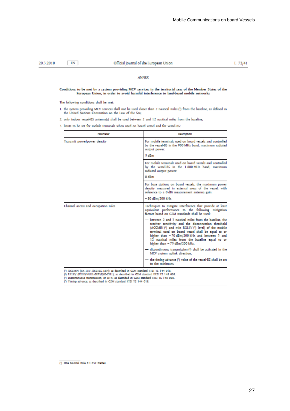#### $EN$ 20.3.2010

#### Official Journal of the European Union

L 72/41

#### **ANNEX**

# Conditions to be met by a system providing MCV services in the territorial seas of the Member States of the<br>European Union, in order to avoid harmful interference to land-based mobile networks

The following conditions shall be met:

1. the system providing MCV services shall not be used closer than 2 nautical miles (<sup>1</sup>) from the baseline, as defined in the United Nations Convention on the Law of the Sea;

2. only indoor vessel-BS antenna(s) shall be used between 2 and 12 nautical miles from the baseline;

3. limits to be set for mobile terminals when used on board vessel and for vessel-BS:

| Parameter                           | Description                                                                                                                                                                                                                                                                                                                                                    |
|-------------------------------------|----------------------------------------------------------------------------------------------------------------------------------------------------------------------------------------------------------------------------------------------------------------------------------------------------------------------------------------------------------------|
| Transmit power/power density        | For mobile terminals used on board vessels and controlled<br>by the vessel-BS in the 900 MHz band, maximum radiated<br>output power:<br>5 dBm                                                                                                                                                                                                                  |
|                                     | For mobile terminals used on board vessels and controlled<br>by the vessel-BS in the 1 800 MHz band, maximum<br>radiated output power:<br>0 <sub>dBm</sub>                                                                                                                                                                                                     |
|                                     | For base stations on board vessels, the maximum power<br>density measured in external areas of the vessel, with<br>reference to a 0 dBi measurement antenna gain:                                                                                                                                                                                              |
|                                     | - 80 dBm/200 kHz                                                                                                                                                                                                                                                                                                                                               |
| Channel access and occupation rules | Techniques to mitigate interference that provide at least<br>equivalent performance to the following mitigation<br>factors based on GSM standards shall be used:                                                                                                                                                                                               |
|                                     | between 2 and 3 nautical miles from the baseline, the<br>receiver sensitivity and the disconnection threshold<br>(ACCMIN (1) and min RXLEV (2) level) of the mobile<br>terminal used on board vessel shall be equal to or<br>higher than -70 dBm/200 kHz and between 3 and<br>12 nautical miles from the baseline equal to or<br>higher than - 75 dBm/200 kHz, |
|                                     | discontinuous transmission (3) shall be activated in the<br>MCV system uplink direction,                                                                                                                                                                                                                                                                       |
|                                     | the timing advance (4) value of the vessel-BS shall be set<br>to the minimum.                                                                                                                                                                                                                                                                                  |

(\*) ACCMIN (RX\_LEV\_ACCESS\_MIN); az dezcribed in CSM standard ETSI TS 144 018.<br>(\*) RXLEV (RXLEV-FULL-SERVING-CELL); az dezcribed in GSM standard ETSI TS 148 008.<br>(\*) Discontinuous transmission, or DTX; as dezcribed in GSM s

 $(1)$  One nautical mile = 1.852 metres.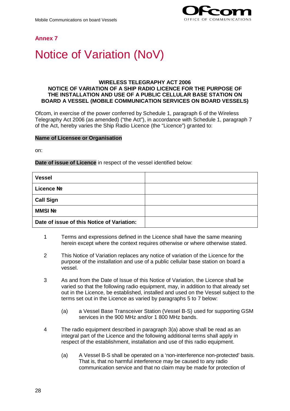

# <span id="page-29-0"></span>**Notice of Variation (NoV)**

#### **WIRELESS TELEGRAPHY ACT 2006 NOTICE OF VARIATION OF A SHIP RADIO LICENCE FOR THE PURPOSE OF THE INSTALLATION AND USE OF A PUBLIC CELLULAR BASE STATION ON BOARD A VESSEL (MOBILE COMMUNICATION SERVICES ON BOARD VESSELS)**

Ofcom, in exercise of the power conferred by Schedule 1, paragraph 6 of the Wireless Telegraphy Act 2006 (as amended) ("the Act"), in accordance with Schedule 1, paragraph 7 of the Act, hereby varies the Ship Radio Licence (the "Licence") granted to:

#### **Name of Licensee or Organisation**

on:

#### **Date of issue of Licence** in respect of the vessel identified below:

| <b>Vessel</b>                              |  |
|--------------------------------------------|--|
| Licence No                                 |  |
| <b>Call Sign</b>                           |  |
| <b>MMSI Nº</b>                             |  |
| Date of issue of this Notice of Variation: |  |

- 1 Terms and expressions defined in the Licence shall have the same meaning herein except where the context requires otherwise or where otherwise stated.
- 2 This Notice of Variation replaces any notice of variation of the Licence for the purpose of the installation and use of a public cellular base station on board a vessel.
- 3 As and from the Date of Issue of this Notice of Variation, the Licence shall be varied so that the following radio equipment, may, in addition to that already set out in the Licence, be established, installed and used on the Vessel subject to the terms set out in the Licence as varied by paragraphs 5 to 7 below:
	- (a) a Vessel Base Transceiver Station (Vessel B-S) used for supporting GSM services in the 900 MHz and/or 1 800 MHz bands.
- 4 The radio equipment described in paragraph 3(a) above shall be read as an integral part of the Licence and the following additional terms shall apply in respect of the establishment, installation and use of this radio equipment.
	- (a) A Vessel B-S shall be operated on a 'non-interference non-protected' basis. That is, that no harmful interference may be caused to any radio communication service and that no claim may be made for protection of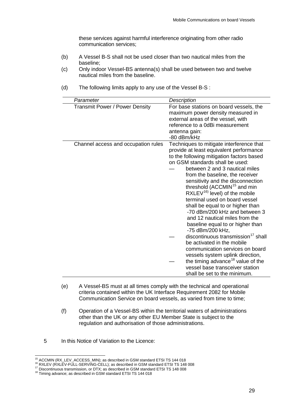these services against harmful interference originating from other radio communication services;

- (b) A Vessel B-S shall not be used closer than two nautical miles from the baseline;
- (c) Only indoor Vessel-BS antenna(s) shall be used between two and twelve nautical miles from the baseline.

| Parameter                             | Description                                                                                                                                                                                                                                                                                                                                                                                                                                                                                                                                                                                                                                                                                                                                                                                                                                      |
|---------------------------------------|--------------------------------------------------------------------------------------------------------------------------------------------------------------------------------------------------------------------------------------------------------------------------------------------------------------------------------------------------------------------------------------------------------------------------------------------------------------------------------------------------------------------------------------------------------------------------------------------------------------------------------------------------------------------------------------------------------------------------------------------------------------------------------------------------------------------------------------------------|
| <b>Transmit Power / Power Density</b> | For base stations on board vessels, the<br>maximum power density measured in<br>external areas of the vessel, with<br>reference to a 0dBi measurement<br>antenna gain:<br>-80 dBm/kHz                                                                                                                                                                                                                                                                                                                                                                                                                                                                                                                                                                                                                                                            |
| Channel access and occupation rules   | Techniques to mitigate interference that<br>provide at least equivalent performance<br>to the following mitigation factors based<br>on GSM standards shall be used:<br>between 2 and 3 nautical miles<br>from the baseline, the receiver<br>sensitivity and the disconnection<br>threshold (ACCMIN <sup>15</sup> and min<br>RXLEV <sup>16)</sup> level) of the mobile<br>terminal used on board vessel<br>shall be equal to or higher than<br>-70 dBm/200 kHz and between 3<br>and 12 nautical miles from the<br>baseline equal to or higher than<br>-75 dBm/200 kHz,<br>discontinuous transmission <sup>17</sup> shall<br>be activated in the mobile<br>communication services on board<br>vessels system uplink direction,<br>the timing advance <sup>18</sup> value of the<br>vessel base transceiver station<br>shall be set to the minimum. |

(d) The following limits apply to any use of the Vessel B-S :

- (e) A Vessel-BS must at all times comply with the technical and operational criteria contained within the UK Interface Requirement 2082 for Mobile Communication Service on board vessels, as varied from time to time;
- (f) Operation of a Vessel-BS within the territorial waters of administrations other than the UK or any other EU Member State is subject to the regulation and authorisation of those administrations.
- 5 In this Notice of Variation to the Licence:

<span id="page-30-1"></span><span id="page-30-0"></span><sup>&</sup>lt;sup>15</sup> ACCMIN (RX\_LEV\_ACCESS\_MIN); as described in GSM standard ETSI TS 144 018<br><sup>16</sup> RXLEV (RXLEV-FULL-SERVING-CELL); as described in GSM standard ETSI TS 148 008<br><sup>17</sup> Discontinuous transmission, or DTX; as described in GSM

<span id="page-30-2"></span>

<span id="page-30-3"></span>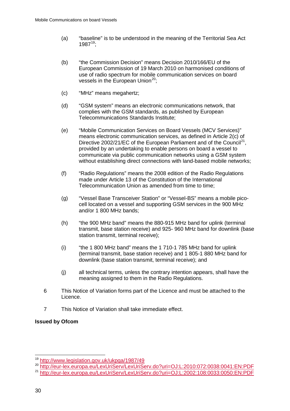- (a) "baseline" is to be understood in the meaning of the Territorial Sea Act  $1987^{19}$ ;
- (b) "the Commission Decision" means Decision 2010/166/EU of the European Commission of 19 March 2010 on harmonised conditions of use of radio spectrum for mobile communication services on board vessels in the European Union<sup>[20](#page-31-1)</sup>:
- (c) "MHz" means megahertz;
- (d) "GSM system" means an electronic communications network, that complies with the GSM standards, as published by European Telecommunications Standards Institute;
- (e) "Mobile Communication Services on Board Vessels (MCV Services)" means electronic communication services, as defined in Article 2(c) of Directive 2002/21/EC of the European Parliament and of the Council<sup>21</sup>, provided by an undertaking to enable persons on board a vessel to communicate via public communication networks using a GSM system without establishing direct connections with land-based mobile networks;
- (f) "Radio Regulations" means the 2008 edition of the Radio Regulations made under Article 13 of the Constitution of the International Telecommunication Union as amended from time to time:
- (g) "Vessel Base Transceiver Station" or "Vessel-BS" means a mobile picocell located on a vessel and supporting GSM services in the 900 MHz and/or 1 800 MHz bands;
- (h) "the 900 MHz band" means the 880-915 MHz band for uplink (terminal transmit, base station receive) and 925- 960 MHz band for downlink (base station transmit, terminal receive);
- (i) "the 1 800 MHz band" means the 1 710-1 785 MHz band for uplink (terminal transmit, base station receive) and 1 805-1 880 MHz band for downlink (base station transmit, terminal receive); and
- (j) all technical terms, unless the contrary intention appears, shall have the meaning assigned to them in the Radio Regulations.
- 6 This Notice of Variation forms part of the Licence and must be attached to the Licence.
- 7 This Notice of Variation shall take immediate effect.

#### **Issued by Ofcom**

<span id="page-31-0"></span><sup>&</sup>lt;sup>19</sup> <http://www.legislation.gov.uk/ukpga/1987/49><br><sup>20</sup> http://eur-lex.europe.eu/LexLriSep/LexLriSe

<http://eur-lex.europa.eu/LexUriServ/LexUriServ.do?uri=OJ:L:2010:072:0038:0041:EN:PDF>

<span id="page-31-2"></span><span id="page-31-1"></span><sup>21</sup> <http://eur-lex.europa.eu/LexUriServ/LexUriServ.do?uri=OJ:L:2002:108:0033:0050:EN:PDF>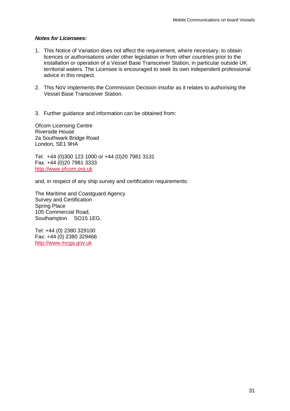#### *Notes for Licensees:*

- 1. This Notice of Variation does not affect the requirement, where necessary, to obtain licences or authorisations under other legislation or from other countries prior to the installation or operation of a Vessel Base Transceiver Station, in particular outside UK territorial waters. The Licensee is encouraged to seek its own independent professional advice in this respect.
- 2. This NoV implements the Commission Decision insofar as it relates to authorising the Vessel Base Transceiver Station.
- 3. Further guidance and information can be obtained from:

Ofcom Licensing Centre Riverside House 2a Southwark Bridge Road London, SE1 9HA

Tel. +44 (0)300 123 1000 or +44 (0)20 7981 3131 Fax. +44 (0)20 7981 3333 [http://www.ofcom.org.uk](http://www.ofcom.org.uk/)

and, in respect of any ship survey and certification requirements:

The Maritime and Coastguard Agency Survey and Certification Spring Place 105 Commercial Road, Southampton SO15 1EG.

Tel: +44 (0) 2380 329100 Fax: +44 (0) 2380 329466 [http://www.mcga.gov.uk](http://www.mcga.gov.uk/)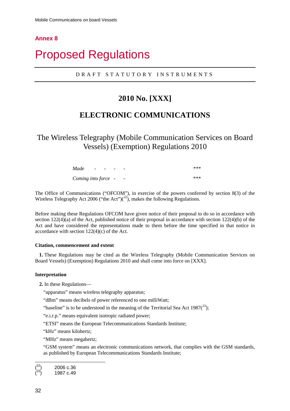# <span id="page-33-0"></span>**Proposed Regulations**

### DRAFT STATUTORY INSTRUMENTS

# **2010 No. [XXX]**

# **ELECTRONIC COMMUNICATIONS**

The Wireless Telegraphy (Mobile Communication Services on Board Vessels) (Exemption) Regulations 2010

| Made                | $\overline{\phantom{a}}$ | $\sim$ $\sim$ | $\overline{\phantom{0}}$ | $\overline{\phantom{0}}$ | *** |
|---------------------|--------------------------|---------------|--------------------------|--------------------------|-----|
| Coming into force - |                          |               |                          | $\overline{\phantom{a}}$ | *** |

The Office of Communications ("OFCOM"), in exercise of the powers conferred by section 8(3) of the Wireless Telegraphy Act 2006 ("the Act")( $^{22}$  $^{22}$  $^{22}$ ), makes the following Regulations.

Before making these Regulations OFCOM have given notice of their proposal to do so in accordance with section  $122(4)(a)$  of the Act, published notice of their proposal in accordance with section  $122(4)(b)$  of the Act and have considered the representations made to them before the time specified in that notice in accordance with section 122(4)(c) of the Act.

#### **Citation, commencement and extent**

**1.** These Regulations may be cited as the Wireless Telegraphy (Mobile Communication Services on Board Vessels) (Exemption) Regulations 2010 and shall come into force on [XXX].

#### **Interpretation**

**2.** In these Regulations—

"apparatus" means wireless telegraphy apparatus;

"dBm" means decibels of power referenced to one milliWatt;

"baseline" is to be understood in the meaning of the Territorial Sea Act  $1987(^{23})$  $1987(^{23})$  $1987(^{23})$ ;

"e.i.r.p." means equivalent isotropic radiated power;

"ETSI" means the European Telecommunications Standards Institute;

"kHz" means kilohertz;

"MHz" means megahertz;

"GSM system" means an electronic communications network, that complies with the GSM standards, as published by European Telecommunications Standards Institute;

<span id="page-33-2"></span><span id="page-33-1"></span>-( 22) 2006 c.36 ( 23) 1987 c.49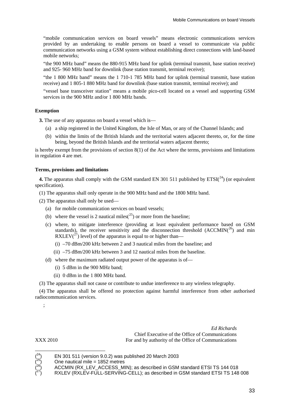"mobile communication services on board vessels" means electronic communications services provided by an undertaking to enable persons on board a vessel to communicate via public communication networks using a GSM system without establishing direct connections with land-based mobile networks;

"the 900 MHz band" means the 880-915 MHz band for uplink (terminal transmit, base station receive) and 925- 960 MHz band for downlink (base station transmit, terminal receive);

"the 1 800 MHz band" means the 1 710-1 785 MHz band for uplink (terminal transmit, base station receive) and 1 805-1 880 MHz band for downlink (base station transmit, terminal receive); and

"vessel base transceiver station" means a mobile pico-cell located on a vessel and supporting GSM services in the 900 MHz and/or 1 800 MHz bands.

#### **Exemption**

**3.** The use of any apparatus on board a vessel which is—

- (a) a ship registered in the United Kingdom, the Isle of Man, or any of the Channel Islands; and
- (b) within the limits of the British Islands and the territorial waters adjacent thereto, or, for the time being, beyond the British Islands and the territorial waters adjacent thereto;

is hereby exempt from the provisions of section 8(1) of the Act where the terms, provisions and limitations in regulation 4 are met.

#### **Terms, provisions and limitations**

4. The apparatus shall comply with the GSM standard EN 301 511 published by ETSI(<sup>[24](#page-34-0)</sup>) (or equivalent specification).

- (1) The apparatus shall only operate in the 900 MHz band and the 1800 MHz band.
- (2) The apparatus shall only be used—
	- (a) for mobile communication services on board vessels;
	- (b) where the vessel is 2 nautical miles( $^{25}$  $^{25}$  $^{25}$ ) or more from the baseline;
	- (c) where, to mitigate interference (providing at least equivalent performance based on GSM standards), the receiver sensitivity and the disconnection threshold  $(ACCMIN<sup>(26)</sup>)$  $(ACCMIN<sup>(26)</sup>)$  $(ACCMIN<sup>(26)</sup>)$  and min RXLEV( $^{27}$  $^{27}$  $^{27}$ ) level) of the apparatus is equal to or higher than—
		- (i) –70 dBm/200 kHz between 2 and 3 nautical miles from the baseline; and
		- (ii) –75 dBm/200 kHz between 3 and 12 nautical miles from the baseline.
	- (d) where the maximum radiated output power of the apparatus is of—
		- (i) 5 dBm in the 900 MHz band;
		- (ii) 0 dBm in the 1 800 MHz band.
- (3) The apparatus shall not cause or contribute to undue interference to any wireless telegraphy.

(4) The apparatus shall be offered no protection against harmful interference from other authorised radiocommunication services.

;

XXX 2010

*Ed Richards* Chief Executive of the Office of Communications For and by authority of the Office of Communications

<span id="page-34-0"></span>( ( ( (

-

One nautical mile = 1852 metres

<sup>24)</sup> EN 301 511 (version 9.0.2) was published 20 March 2003

ACCMIN (RX\_LEV\_ACCESS\_MIN); as described in GSM standard ETSI TS 144 018

<sup>27)</sup> RXLEV (RXLEV-FULL-SERVING-CELL); as described in GSM standard ETSI TS 148 008